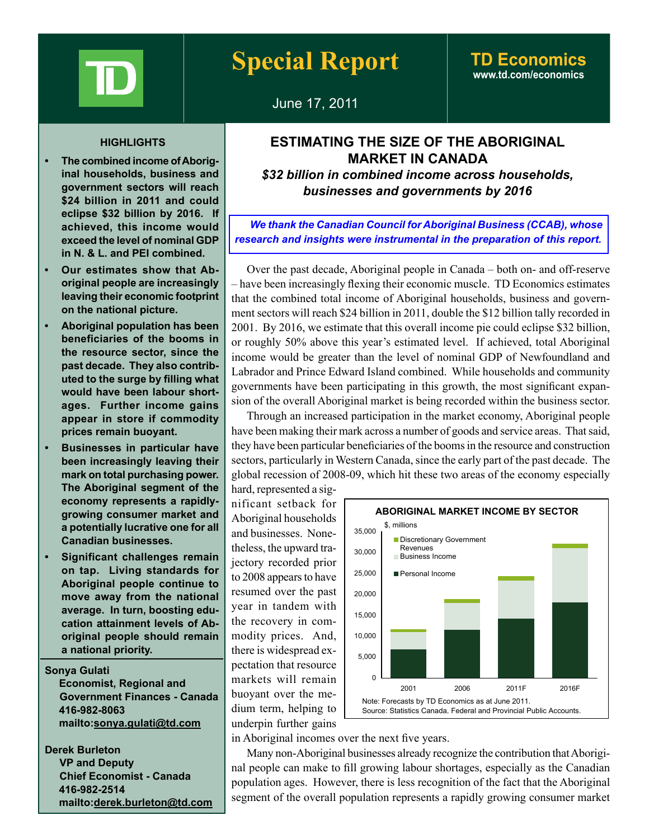

# **Special Report TD Economics**

# **www.td.com/economics**

June 17, 2011

### **HIGHLIGHTS**

- **12.53 The combined income of Aboriginal households, business and government sectors will reach \$24 billion in 2011 and could eclipse \$32 billion by 2016. If achieved, this income would exceed the level of nominal GDP in N. & L. and PEI combined.**
- **• Our estimates show that Aboriginal people are increasingly leaving their economic footprint on the national picture.**
- **• Aboriginal population has been beneficiaries of the booms in the resource sector, since the past decade. They also contributed to the surge by filling what would have been labour shortages. Further income gains appear in store if commodity prices remain buoyant.**
- **• Businesses in particular have been increasingly leaving their mark on total purchasing power. The Aboriginal segment of the economy represents a rapidlygrowing consumer market and a potentially lucrative one for all Canadian businesses.**
- **• Significant challenges remain on tap. Living standards for Aboriginal people continue to move away from the national average. In turn, boosting education attainment levels of Aboriginal people should remain a national priority.**

**Sonya Gulati Economist, Regional and Government Finances - Canada 416-982-8063 mailto:sonya.gulati@td.com**

**Derek Burleton VP and Deputy Chief Economist - Canada 416-982-2514 mailto:derek.burleton@td.com**

## **ESTIMATING THE SIZE OF THE ABORIGINAL MARKET IN CANADA**

*\$32 billion in combined income across households, businesses and governments by 2016*

*We thank the Canadian Council for Aboriginal Business (CCAB), whose research and insights were instrumental in the preparation of this report.* 

Over the past decade, Aboriginal people in Canada – both on- and off-reserve – have been increasingly flexing their economic muscle. TD Economics estimates that the combined total income of Aboriginal households, business and government sectors will reach \$24 billion in 2011, double the \$12 billion tally recorded in 2001. By 2016, we estimate that this overall income pie could eclipse \$32 billion, or roughly 50% above this year's estimated level. If achieved, total Aboriginal income would be greater than the level of nominal GDP of Newfoundland and Labrador and Prince Edward Island combined. While households and community governments have been participating in this growth, the most significant expansion of the overall Aboriginal market is being recorded within the business sector.

Through an increased participation in the market economy, Aboriginal people have been making their mark across a number of goods and service areas. That said, they have been particular beneficiaries of the booms in the resource and construction sectors, particularly in Western Canada, since the early part of the past decade. The global recession of 2008-09, which hit these two areas of the economy especially

hard, represented a significant setback for Aboriginal households and businesses. Nonetheless, the upward trajectory recorded prior to 2008 appears to have resumed over the past year in tandem with the recovery in commodity prices. And, there is widespread expectation that resource markets will remain buoyant over the medium term, helping to underpin further gains



in Aboriginal incomes over the next five years.

Many non-Aboriginal businesses already recognize the contribution that Aboriginal people can make to fill growing labour shortages, especially as the Canadian population ages. However, there is less recognition of the fact that the Aboriginal segment of the overall population represents a rapidly growing consumer market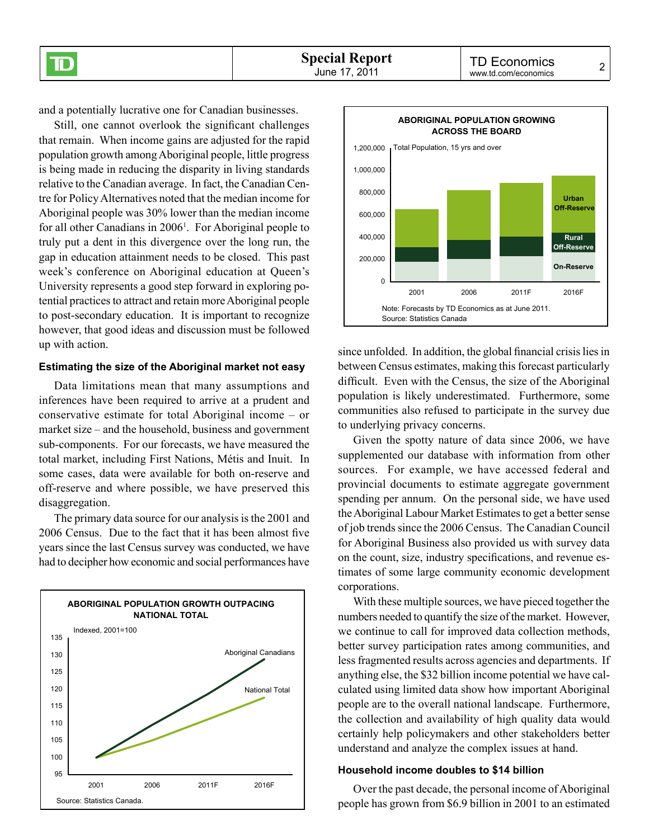and a potentially lucrative one for Canadian businesses.

ID

Still, one cannot overlook the significant challenges that remain. When income gains are adjusted for the rapid population growth among Aboriginal people, little progress is being made in reducing the disparity in living standards relative to the Canadian average. In fact, the Canadian Centre for Policy Alternatives noted that the median income for Aboriginal people was 30% lower than the median income for all other Canadians in 2006<sup>1</sup>. For Aboriginal people to truly put a dent in this divergence over the long run, the gap in education attainment needs to be closed. This past week's conference on Aboriginal education at Queen's University represents a good step forward in exploring potential practices to attract and retain more Aboriginal people to post‑secondary education. It is important to recognize however, that good ideas and discussion must be followed up with action.

#### **Estimating the size of the Aboriginal market not easy**

Data limitations mean that many assumptions and inferences have been required to arrive at a prudent and conservative estimate for total Aboriginal income – or market size – and the household, business and government sub-components. For our forecasts, we have measured the total market, including First Nations, Métis and Inuit. In some cases, data were available for both on-reserve and off‑reserve and where possible, we have preserved this disaggregation.

The primary data source for our analysis is the 2001 and 2006 Census. Due to the fact that it has been almost five years since the last Census survey was conducted, we have had to decipher how economic and social performances have





since unfolded. In addition, the global financial crisis lies in between Census estimates, making this forecast particularly difficult. Even with the Census, the size of the Aboriginal population is likely underestimated. Furthermore, some communities also refused to participate in the survey due to underlying privacy concerns.

Given the spotty nature of data since 2006, we have supplemented our database with information from other sources. For example, we have accessed federal and provincial documents to estimate aggregate government spending per annum. On the personal side, we have used the Aboriginal Labour Market Estimates to get a better sense of job trends since the 2006 Census. The Canadian Council for Aboriginal Business also provided us with survey data on the count, size, industry specifications, and revenue estimates of some large community economic development corporations.

With these multiple sources, we have pieced together the numbers needed to quantify the size of the market. However, we continue to call for improved data collection methods, better survey participation rates among communities, and less fragmented results across agencies and departments. If anything else, the \$32 billion income potential we have calculated using limited data show how important Aboriginal people are to the overall national landscape. Furthermore, the collection and availability of high quality data would certainly help policymakers and other stakeholders better understand and analyze the complex issues at hand.

### **Household income doubles to \$14 billion**

Over the past decade, the personal income of Aboriginal people has grown from \$6.9 billion in 2001 to an estimated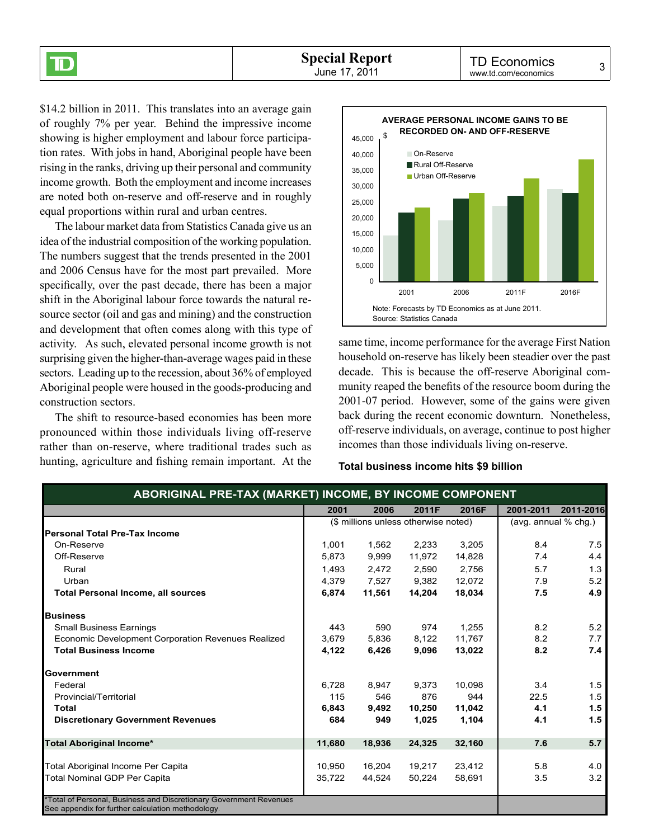\$14.2 billion in 2011. This translates into an average gain of roughly 7% per year. Behind the impressive income showing is higher employment and labour force participation rates. With jobs in hand, Aboriginal people have been rising in the ranks, driving up their personal and community income growth. Both the employment and income increases are noted both on-reserve and off-reserve and in roughly equal proportions within rural and urban centres.

 $\overline{\mathbb{D}}$ 

The labour market data from Statistics Canada give us an idea of the industrial composition of the working population. The numbers suggest that the trends presented in the 2001 and 2006 Census have for the most part prevailed. More specifically, over the past decade, there has been a major shift in the Aboriginal labour force towards the natural resource sector (oil and gas and mining) and the construction and development that often comes along with this type of activity. As such, elevated personal income growth is not surprising given the higher-than-average wages paid in these sectors. Leading up to the recession, about 36% of employed Aboriginal people were housed in the goods-producing and construction sectors.

The shift to resource-based economies has been more pronounced within those individuals living off-reserve rather than on-reserve, where traditional trades such as hunting, agriculture and fishing remain important. At the



same time, income performance for the average First Nation household on-reserve has likely been steadier over the past decade. This is because the off-reserve Aboriginal community reaped the benefits of the resource boom during the 2001‑07 period. However, some of the gains were given back during the recent economic downturn. Nonetheless, off-reserve individuals, on average, continue to post higher incomes than those individuals living on-reserve.

#### **Total business income hits \$9 billion**

|                                                    | 2001                                 | 2006   | 2011F  | 2016F                | 2001-2011 | 2011-2016 |
|----------------------------------------------------|--------------------------------------|--------|--------|----------------------|-----------|-----------|
|                                                    | (\$ millions unless otherwise noted) |        |        | (avg. annual % chg.) |           |           |
| <b>Personal Total Pre-Tax Income</b>               |                                      |        |        |                      |           |           |
| On-Reserve                                         | 1,001                                | 1,562  | 2,233  | 3,205                | 8.4       | 7.5       |
| Off-Reserve                                        | 5,873                                | 9,999  | 11,972 | 14,828               | 7.4       | 4.4       |
| Rural                                              | 1,493                                | 2,472  | 2,590  | 2,756                | 5.7       | 1.3       |
| Urban                                              | 4,379                                | 7,527  | 9,382  | 12,072               | 7.9       | 5.2       |
| <b>Total Personal Income, all sources</b>          | 6,874                                | 11,561 | 14,204 | 18,034               | 7.5       | 4.9       |
| <b>Business</b>                                    |                                      |        |        |                      |           |           |
| <b>Small Business Earnings</b>                     | 443                                  | 590    | 974    | 1,255                | 8.2       | 5.2       |
| Economic Development Corporation Revenues Realized | 3,679                                | 5,836  | 8,122  | 11,767               | 8.2       | 7.7       |
| <b>Total Business Income</b>                       | 4,122                                | 6,426  | 9,096  | 13,022               | 8.2       | 7.4       |
| Government                                         |                                      |        |        |                      |           |           |
| Federal                                            | 6.728                                | 8,947  | 9,373  | 10,098               | 3.4       | 1.5       |
| Provincial/Territorial                             | 115                                  | 546    | 876    | 944                  | 22.5      | 1.5       |
| Total                                              | 6,843                                | 9,492  | 10,250 | 11,042               | 4.1       | 1.5       |
| <b>Discretionary Government Revenues</b>           | 684                                  | 949    | 1,025  | 1,104                | 4.1       | $1.5$     |
| <b>Total Aboriginal Income*</b>                    | 11,680                               | 18.936 | 24,325 | 32,160               | 7.6       | 5.7       |
| Total Aboriginal Income Per Capita                 | 10,950                               | 16,204 | 19,217 | 23,412               | 5.8       | 4.0       |
| Total Nominal GDP Per Capita                       | 35,722                               | 44,524 | 50,224 | 58,691               | 3.5       | 3.2       |

See appendix for further calculation methodology.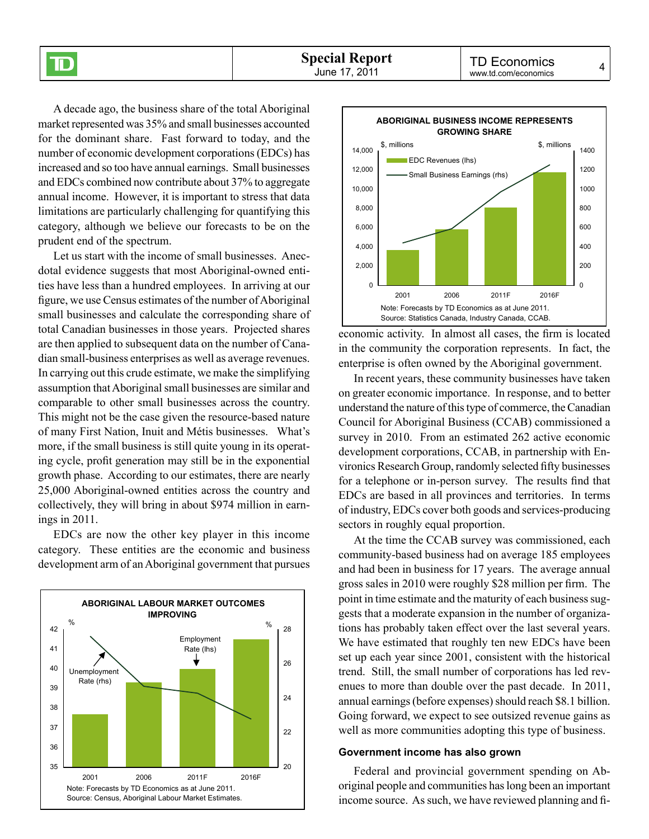A decade ago, the business share of the total Aboriginal market represented was 35% and small businesses accounted for the dominant share. Fast forward to today, and the number of economic development corporations (EDCs) has increased and so too have annual earnings. Small businesses and EDCs combined now contribute about 37% to aggregate annual income. However, it is important to stress that data limitations are particularly challenging for quantifying this category, although we believe our forecasts to be on the prudent end of the spectrum.

 $\bf \overline D$ 

Let us start with the income of small businesses. Anecdotal evidence suggests that most Aboriginal-owned entities have less than a hundred employees. In arriving at our figure, we use Census estimates of the number of Aboriginal small businesses and calculate the corresponding share of total Canadian businesses in those years. Projected shares are then applied to subsequent data on the number of Canadian small-business enterprises as well as average revenues. In carrying out this crude estimate, we make the simplifying assumption that Aboriginal small businesses are similar and comparable to other small businesses across the country. This might not be the case given the resource-based nature of many First Nation, Inuit and Métis businesses. What's more, if the small business is still quite young in its operating cycle, profit generation may still be in the exponential growth phase. According to our estimates, there are nearly 25,000 Aboriginal-owned entities across the country and collectively, they will bring in about \$974 million in earnings in 2011.

EDCs are now the other key player in this income category. These entities are the economic and business development arm of an Aboriginal government that pursues





economic activity. In almost all cases, the firm is located in the community the corporation represents. In fact, the enterprise is often owned by the Aboriginal government.

In recent years, these community businesses have taken on greater economic importance. In response, and to better understand the nature of this type of commerce, the Canadian Council for Aboriginal Business (CCAB) commissioned a survey in 2010. From an estimated 262 active economic development corporations, CCAB, in partnership with Environics Research Group, randomly selected fifty businesses for a telephone or in-person survey. The results find that EDCs are based in all provinces and territories. In terms of industry, EDCs cover both goods and services-producing sectors in roughly equal proportion.

At the time the CCAB survey was commissioned, each community-based business had on average 185 employees and had been in business for 17 years. The average annual gross sales in 2010 were roughly \$28 million per firm. The point in time estimate and the maturity of each business suggests that a moderate expansion in the number of organizations has probably taken effect over the last several years. We have estimated that roughly ten new EDCs have been set up each year since 2001, consistent with the historical trend. Still, the small number of corporations has led revenues to more than double over the past decade. In 2011, annual earnings (before expenses) should reach \$8.1 billion. Going forward, we expect to see outsized revenue gains as well as more communities adopting this type of business.

#### **Government income has also grown**

Federal and provincial government spending on Aboriginal people and communities has long been an important income source. As such, we have reviewed planning and fi-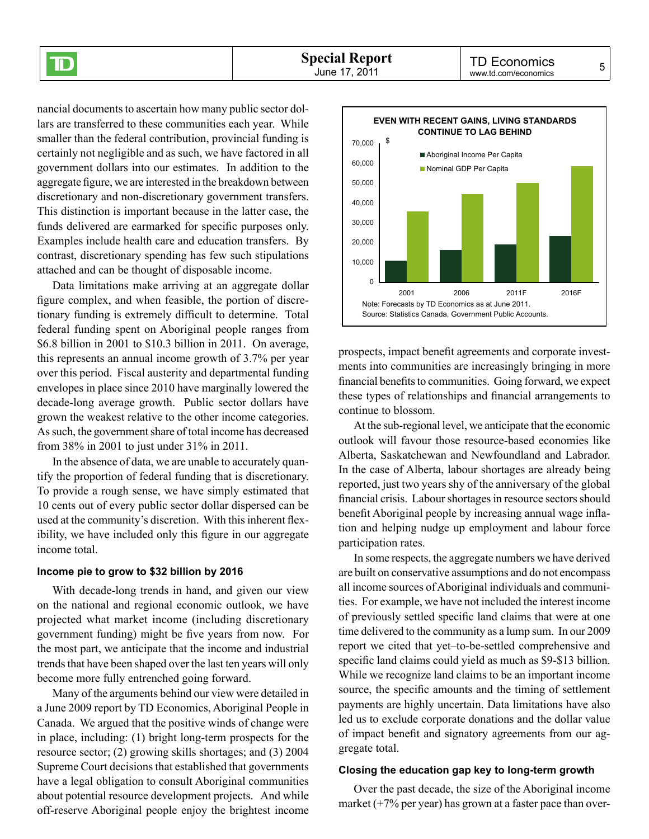nancial documents to ascertain how many public sector dollars are transferred to these communities each year. While smaller than the federal contribution, provincial funding is certainly not negligible and as such, we have factored in all government dollars into our estimates. In addition to the aggregate figure, we are interested in the breakdown between discretionary and non-discretionary government transfers. This distinction is important because in the latter case, the funds delivered are earmarked for specific purposes only. Examples include health care and education transfers. By contrast, discretionary spending has few such stipulations attached and can be thought of disposable income.

 $\bf \overline D$ 

Data limitations make arriving at an aggregate dollar figure complex, and when feasible, the portion of discretionary funding is extremely difficult to determine. Total federal funding spent on Aboriginal people ranges from \$6.8 billion in 2001 to \$10.3 billion in 2011. On average, this represents an annual income growth of 3.7% per year over this period. Fiscal austerity and departmental funding envelopes in place since 2010 have marginally lowered the decade-long average growth. Public sector dollars have grown the weakest relative to the other income categories. As such, the government share of total income has decreased from 38% in 2001 to just under 31% in 2011.

In the absence of data, we are unable to accurately quantify the proportion of federal funding that is discretionary. To provide a rough sense, we have simply estimated that 10 cents out of every public sector dollar dispersed can be used at the community's discretion. With this inherent flexibility, we have included only this figure in our aggregate income total.

#### **Income pie to grow to \$32 billion by 2016**

With decade-long trends in hand, and given our view on the national and regional economic outlook, we have projected what market income (including discretionary government funding) might be five years from now. For the most part, we anticipate that the income and industrial trends that have been shaped over the last ten years will only become more fully entrenched going forward.

Many of the arguments behind our view were detailed in a June 2009 report by TD Economics, Aboriginal People in Canada. We argued that the positive winds of change were in place, including: (1) bright long-term prospects for the resource sector; (2) growing skills shortages; and (3) 2004 Supreme Court decisions that established that governments have a legal obligation to consult Aboriginal communities about potential resource development projects. And while off‑reserve Aboriginal people enjoy the brightest income



prospects, impact benefit agreements and corporate investments into communities are increasingly bringing in more financial benefits to communities. Going forward, we expect these types of relationships and financial arrangements to continue to blossom.

At the sub-regional level, we anticipate that the economic outlook will favour those resource‑based economies like Alberta, Saskatchewan and Newfoundland and Labrador. In the case of Alberta, labour shortages are already being reported, just two years shy of the anniversary of the global financial crisis. Labour shortages in resource sectors should benefit Aboriginal people by increasing annual wage inflation and helping nudge up employment and labour force participation rates.

In some respects, the aggregate numbers we have derived are built on conservative assumptions and do not encompass all income sources of Aboriginal individuals and communities. For example, we have not included the interest income of previously settled specific land claims that were at one time delivered to the community as a lump sum. In our 2009 report we cited that yet–to-be-settled comprehensive and specific land claims could yield as much as \$9-\$13 billion. While we recognize land claims to be an important income source, the specific amounts and the timing of settlement payments are highly uncertain. Data limitations have also led us to exclude corporate donations and the dollar value of impact benefit and signatory agreements from our aggregate total.

#### **Closing the education gap key to long-term growth**

Over the past decade, the size of the Aboriginal income market  $(+7\%$  per year) has grown at a faster pace than over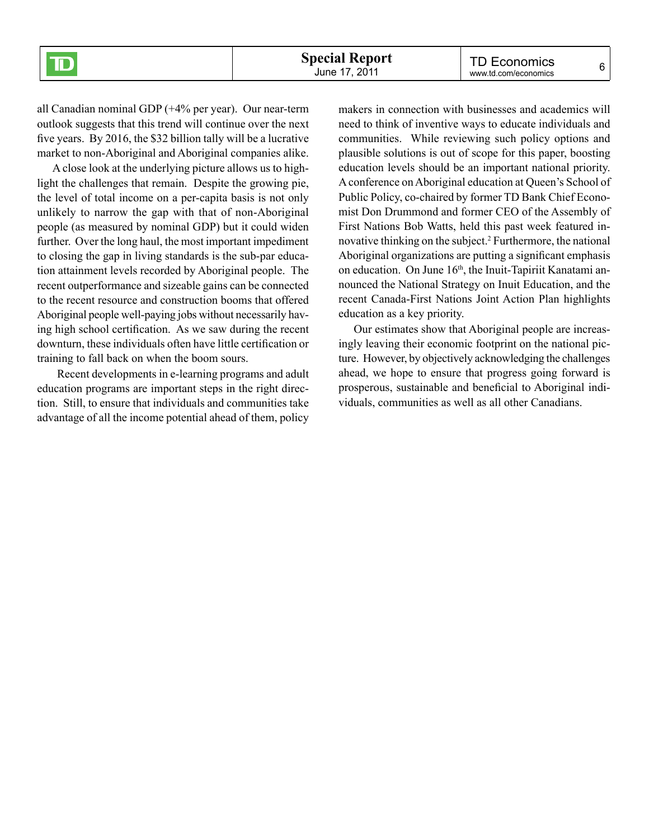all Canadian nominal GDP (+4% per year). Our near-term outlook suggests that this trend will continue over the next five years. By 2016, the \$32 billion tally will be a lucrative market to non-Aboriginal and Aboriginal companies alike.

A close look at the underlying picture allows us to highlight the challenges that remain. Despite the growing pie, the level of total income on a per-capita basis is not only unlikely to narrow the gap with that of non-Aboriginal people (as measured by nominal GDP) but it could widen further. Over the long haul, the most important impediment to closing the gap in living standards is the sub-par education attainment levels recorded by Aboriginal people. The recent outperformance and sizeable gains can be connected to the recent resource and construction booms that offered Aboriginal people well-paying jobs without necessarily having high school certification. As we saw during the recent downturn, these individuals often have little certification or training to fall back on when the boom sours.

 Recent developments in e-learning programs and adult education programs are important steps in the right direction. Still, to ensure that individuals and communities take advantage of all the income potential ahead of them, policy

makers in connection with businesses and academics will need to think of inventive ways to educate individuals and communities. While reviewing such policy options and plausible solutions is out of scope for this paper, boosting education levels should be an important national priority. A conference on Aboriginal education at Queen's School of Public Policy, co-chaired by former TD Bank Chief Economist Don Drummond and former CEO of the Assembly of First Nations Bob Watts, held this past week featured innovative thinking on the subject.2 Furthermore, the national Aboriginal organizations are putting a significant emphasis on education. On June 16<sup>th</sup>, the Inuit-Tapiriit Kanatami announced the National Strategy on Inuit Education, and the recent Canada-First Nations Joint Action Plan highlights education as a key priority.

Our estimates show that Aboriginal people are increasingly leaving their economic footprint on the national picture. However, by objectively acknowledging the challenges ahead, we hope to ensure that progress going forward is prosperous, sustainable and beneficial to Aboriginal individuals, communities as well as all other Canadians.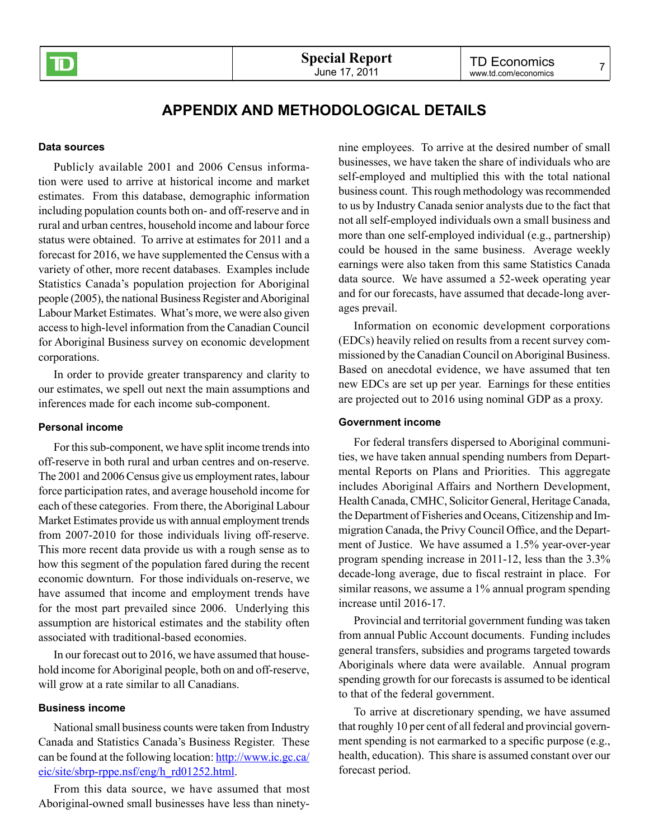

## **Appendix and methodological details**

#### **Data sources**

Publicly available 2001 and 2006 Census information were used to arrive at historical income and market estimates. From this database, demographic information including population counts both on- and off-reserve and in rural and urban centres, household income and labour force status were obtained. To arrive at estimates for 2011 and a forecast for 2016, we have supplemented the Census with a variety of other, more recent databases. Examples include Statistics Canada's population projection for Aboriginal people (2005), the national Business Register and Aboriginal Labour Market Estimates. What's more, we were also given access to high‑level information from the Canadian Council for Aboriginal Business survey on economic development corporations.

In order to provide greater transparency and clarity to our estimates, we spell out next the main assumptions and inferences made for each income sub-component.

#### **Personal income**

For this sub-component, we have split income trends into off-reserve in both rural and urban centres and on-reserve. The 2001 and 2006 Census give us employment rates, labour force participation rates, and average household income for each of these categories. From there, the Aboriginal Labour Market Estimates provide us with annual employment trends from 2007-2010 for those individuals living off-reserve. This more recent data provide us with a rough sense as to how this segment of the population fared during the recent economic downturn. For those individuals on-reserve, we have assumed that income and employment trends have for the most part prevailed since 2006. Underlying this assumption are historical estimates and the stability often associated with traditional-based economies.

In our forecast out to 2016, we have assumed that household income for Aboriginal people, both on and off-reserve, will grow at a rate similar to all Canadians.

#### **Business income**

National small business counts were taken from Industry Canada and Statistics Canada's Business Register. These can be found at the following location: [http://www.ic.gc.ca/](http://www.ic.gc.ca/eic/site/sbrp-rppe.nsf/eng/h_rd01252.html) [eic/site/sbrp-rppe.nsf/eng/h\\_rd01252.html](http://www.ic.gc.ca/eic/site/sbrp-rppe.nsf/eng/h_rd01252.html).

From this data source, we have assumed that most Aboriginal-owned small businesses have less than ninetynine employees. To arrive at the desired number of small businesses, we have taken the share of individuals who are self-employed and multiplied this with the total national business count. This rough methodology was recommended to us by Industry Canada senior analysts due to the fact that not all self-employed individuals own a small business and more than one self-employed individual (e.g., partnership) could be housed in the same business. Average weekly earnings were also taken from this same Statistics Canada data source. We have assumed a 52-week operating year and for our forecasts, have assumed that decade-long averages prevail.

Information on economic development corporations (EDCs) heavily relied on results from a recent survey commissioned by the Canadian Council on Aboriginal Business. Based on anecdotal evidence, we have assumed that ten new EDCs are set up per year. Earnings for these entities are projected out to 2016 using nominal GDP as a proxy.

#### **Government income**

For federal transfers dispersed to Aboriginal communities, we have taken annual spending numbers from Departmental Reports on Plans and Priorities. This aggregate includes Aboriginal Affairs and Northern Development, Health Canada, CMHC, Solicitor General, Heritage Canada, the Department of Fisheries and Oceans, Citizenship and Immigration Canada, the Privy Council Office, and the Department of Justice. We have assumed a 1.5% year-over-year program spending increase in 2011-12, less than the 3.3% decade-long average, due to fiscal restraint in place. For similar reasons, we assume a 1% annual program spending increase until 2016-17.

Provincial and territorial government funding was taken from annual Public Account documents. Funding includes general transfers, subsidies and programs targeted towards Aboriginals where data were available. Annual program spending growth for our forecasts is assumed to be identical to that of the federal government.

To arrive at discretionary spending, we have assumed that roughly 10 per cent of all federal and provincial government spending is not earmarked to a specific purpose (e.g., health, education). This share is assumed constant over our forecast period.